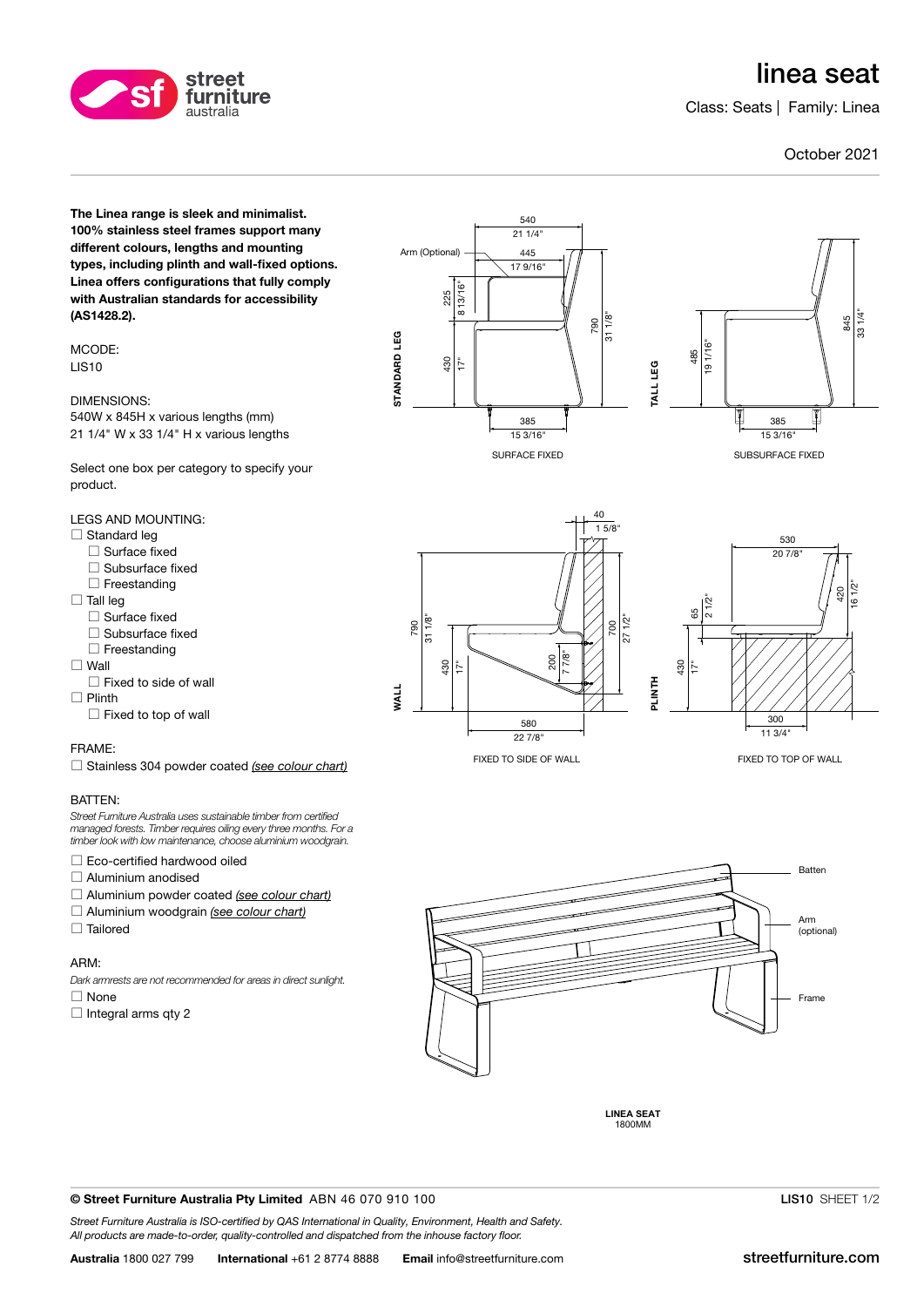# linea seat

Class: Seats | Family: Linea

### October 2021

The Linea range is sleek and minimalist. 100% stainless steel frames support many different colours, lengths and mounting types, including plinth and wall-fixed options. Linea offers configurations that fully comply with Australian standards for accessibility (AS1428.2).

street furniture australia

MCODE: LIS10

DIMENSIONS: 540W x 845H x various lengths (mm)

21 1/4" W x 33 1/4" H x various lengths

Select one box per category to specify your product.

LEGS AND MOUNTING:

- $\Box$  Standard leg
	- Surface fixed
	- $\Box$  Subsurface fixed
	- $\Box$  Freestanding
- $\Box$  Tall leg
- $\Box$  Surface fixed
- $\Box$  Subsurface fixed
- $\Box$  Freestanding
- $\square$  Wall

 $\square$  Fixed to side of wall

 $\Box$  Plinth

## $\Box$  Fixed to top of wall

#### FRAME:

Stainless 304 powder coated [\(see colour chart\)](http://streetfurniture.com/au/colour-chart/)

#### BATTEN:

Street Furniture Australia uses sustainable timber from certified managed forests. Timber requires oiling every three months. For a timber look with low maintenance, choose aluminium woodgrain.

Eco-certified hardwood oiled

- Aluminium anodised
- $\Box$  Aluminium powder coated [\(see colour chart\)](http://streetfurniture.com/au/colour-chart/)
- $\Box$  Aluminium woodgrain [\(see colour chart\)](http://streetfurniture.com/au/colour-chart/)
- $\Box$  Tailored

#### ARM:

Dark armrests are not recommended for areas in direct sunlight.

 $\Box$  None

 $\Box$  Integral arms qty 2



SURFACE FIXED





FIXED TO SIDE OF WALL



FIXED TO TOP OF WALL



**LINEA SEAT** 1800MM

#### © Street Furniture Australia Pty Limited ABN 46 070 910 100

Street Furniture Australia is ISO-certified by QAS International in Quality, Environment, Health and Safety. All products are made-to-order, quality-controlled and dispatched from the inhouse factory floor.

LIS10 SHEET 1/2